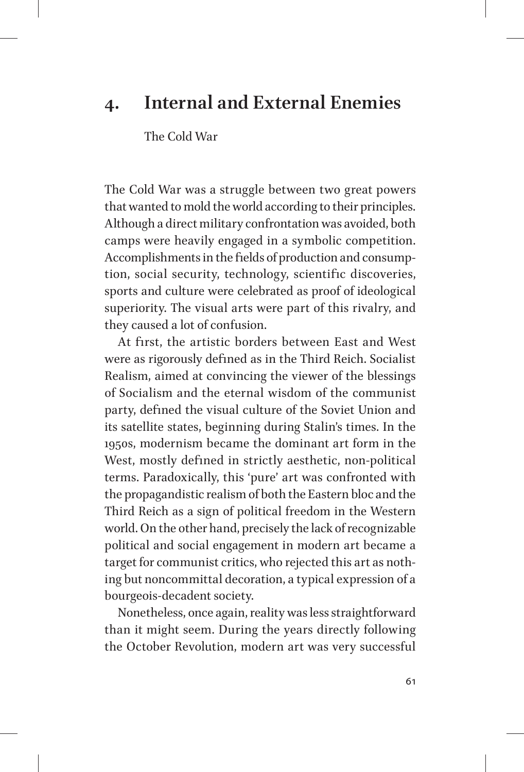## **4. Internal and External Enemies**

The Cold War

The Cold War was a struggle between two great powers that wanted to mold the world according to their principles. Although a direct military confrontation was avoided, both camps were heavily engaged in a symbolic competition. Accomplishments in the fields of production and consumption, social security, technology, scientific discoveries, sports and culture were celebrated as proof of ideological superiority. The visual arts were part of this rivalry, and they caused a lot of confusion.

At first, the artistic borders between East and West were as rigorously defined as in the Third Reich. Socialist Realism, aimed at convincing the viewer of the blessings of Socialism and the eternal wisdom of the communist party, defined the visual culture of the Soviet Union and its satellite states, beginning during Stalin's times. In the 1950s, modernism became the dominant art form in the West, mostly defined in strictly aesthetic, non-political terms. Paradoxically, this 'pure' art was confronted with the propagandistic realism of both the Eastern bloc and the Third Reich as a sign of political freedom in the Western world. On the other hand, precisely the lack of recognizable political and social engagement in modern art became a target for communist critics, who rejected this art as nothing but noncommittal decoration, a typical expression of a bourgeois-decadent society.

Nonetheless, once again, reality was less straightforward than it might seem. During the years directly following the October Revolution, modern art was very successful

61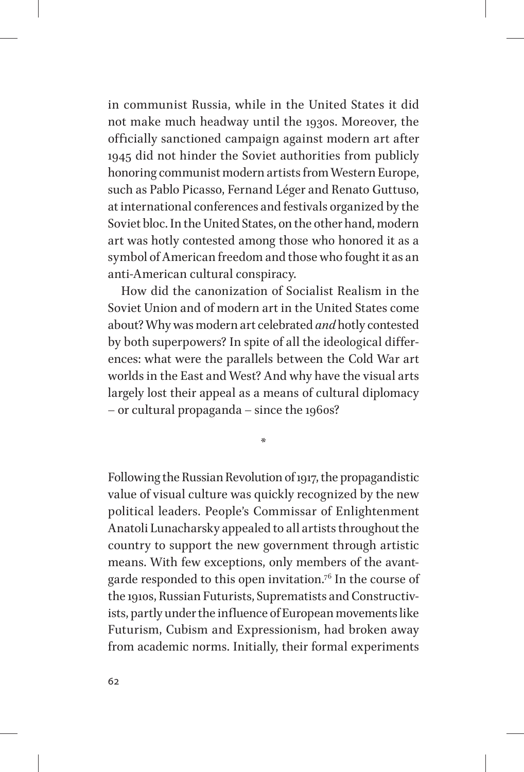in communist Russia, while in the United States it did not make much headway until the 1930s. Moreover, the officially sanctioned campaign against modern art after 1945 did not hinder the Soviet authorities from publicly honoring communist modern artists from Western Europe, such as Pablo Picasso, Fernand Léger and Renato Guttuso, at international conferences and festivals organized by the Soviet bloc. In the United States, on the other hand, modern art was hotly contested among those who honored it as a symbol of American freedom and those who fought it as an anti-American cultural conspiracy.

How did the canonization of Socialist Realism in the Soviet Union and of modern art in the United States come about? Why was modern art celebrated *and* hotly contested by both superpowers? In spite of all the ideological differences: what were the parallels between the Cold War art worlds in the East and West? And why have the visual arts largely lost their appeal as a means of cultural diplomacy – or cultural propaganda – since the 1960s?

\*

Following the Russian Revolution of 1917, the propagandistic value of visual culture was quickly recognized by the new political leaders. People's Commissar of Enlightenment Anatoli Lunacharsky appealed to all artists throughout the country to support the new government through artistic means. With few exceptions, only members of the avantgarde responded to this open invitation.76 In the course of the 1910s, Russian Futurists, Suprematists and Constructivists, partly under the influence of European movements like Futurism, Cubism and Expressionism, had broken away from academic norms. Initially, their formal experiments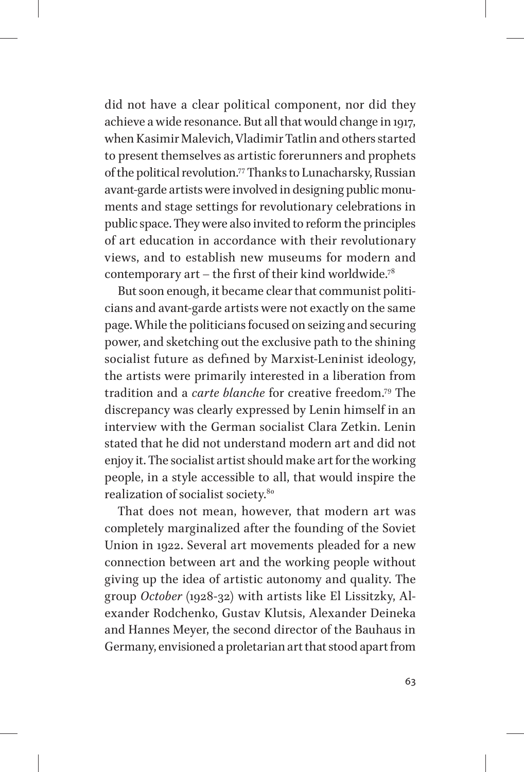did not have a clear political component, nor did they achieve a wide resonance. But all that would change in 1917, when Kasimir Malevich, Vladimir Tatlin and others started to present themselves as artistic forerunners and prophets of the political revolution.77 Thanks to Lunacharsky, Russian avant-garde artists were involved in designing public monuments and stage settings for revolutionary celebrations in public space. They were also invited to reform the principles of art education in accordance with their revolutionary views, and to establish new museums for modern and contemporary art – the first of their kind worldwide.<sup>78</sup>

But soon enough, it became clear that communist politicians and avant-garde artists were not exactly on the same page. While the politicians focused on seizing and securing power, and sketching out the exclusive path to the shining socialist future as defined by Marxist-Leninist ideology, the artists were primarily interested in a liberation from tradition and a *carte blanche* for creative freedom.79 The discrepancy was clearly expressed by Lenin himself in an interview with the German socialist Clara Zetkin. Lenin stated that he did not understand modern art and did not enjoy it. The socialist artist should make art for the working people, in a style accessible to all, that would inspire the realization of socialist society.80

That does not mean, however, that modern art was completely marginalized after the founding of the Soviet Union in 1922. Several art movements pleaded for a new connection between art and the working people without giving up the idea of artistic autonomy and quality. The group *October* (1928-32) with artists like El Lissitzky, Alexander Rodchenko, Gustav Klutsis, Alexander Deineka and Hannes Meyer, the second director of the Bauhaus in Germany, envisioned a proletarian art that stood apart from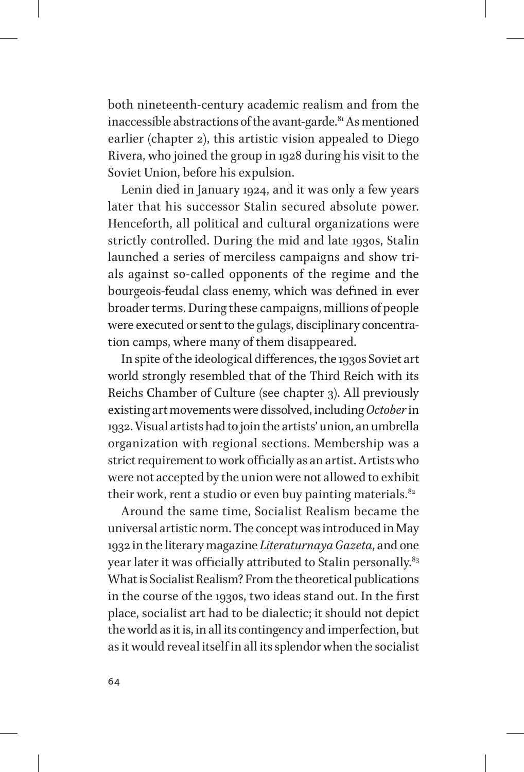both nineteenth-century academic realism and from the inaccessible abstractions of the avant-garde.<sup>81</sup> As mentioned earlier (chapter 2), this artistic vision appealed to Diego Rivera, who joined the group in 1928 during his visit to the Soviet Union, before his expulsion.

Lenin died in January 1924, and it was only a few years later that his successor Stalin secured absolute power. Henceforth, all political and cultural organizations were strictly controlled. During the mid and late 1930s, Stalin launched a series of merciless campaigns and show trials against so-called opponents of the regime and the bourgeois-feudal class enemy, which was defined in ever broader terms. During these campaigns, millions of people were executed or sent to the gulags, disciplinary concentration camps, where many of them disappeared.

In spite of the ideological diffferences, the 1930s Soviet art world strongly resembled that of the Third Reich with its Reichs Chamber of Culture (see chapter 3). All previously existing art movements were dissolved, including *October* in 1932. Visual artists had to join the artists' union, an umbrella organization with regional sections. Membership was a strict requirement to work officially as an artist. Artists who were not accepted by the union were not allowed to exhibit their work, rent a studio or even buy painting materials. $82$ 

Around the same time, Socialist Realism became the universal artistic norm. The concept was introduced in May 1932 in the literary magazine *Literaturnaya Gazeta*, and one year later it was officially attributed to Stalin personally.<sup>83</sup> What is Socialist Realism? From the theoretical publications in the course of the 1930s, two ideas stand out. In the first place, socialist art had to be dialectic; it should not depict the world as it is, in all its contingency and imperfection, but as it would reveal itself in all its splendor when the socialist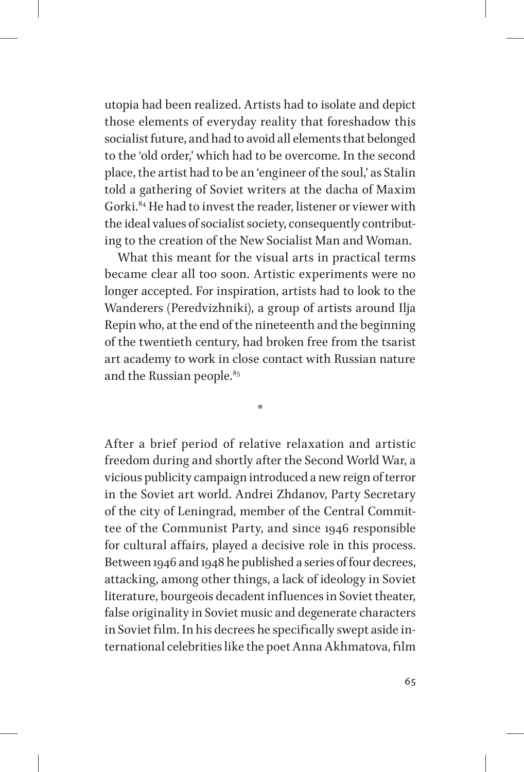utopia had been realized. Artists had to isolate and depict those elements of everyday reality that foreshadow this socialist future, and had to avoid all elements that belonged to the 'old order,' which had to be overcome. In the second place, the artist had to be an 'engineer of the soul,' as Stalin told a gathering of Soviet writers at the dacha of Maxim Gorki.<sup>84</sup> He had to invest the reader, listener or viewer with the ideal values of socialist society, consequently contributing to the creation of the New Socialist Man and Woman.

What this meant for the visual arts in practical terms became clear all too soon. Artistic experiments were no longer accepted. For inspiration, artists had to look to the Wanderers (Peredvizhniki), a group of artists around Ilja Repin who, at the end of the nineteenth and the beginning of the twentieth century, had broken free from the tsarist art academy to work in close contact with Russian nature and the Russian people.<sup>85</sup>

\*

After a brief period of relative relaxation and artistic freedom during and shortly after the Second World War, a vicious publicity campaign introduced a new reign of terror in the Soviet art world. Andrei Zhdanov, Party Secretary of the city of Leningrad, member of the Central Committee of the Communist Party, and since 1946 responsible for cultural affairs, played a decisive role in this process. Between 1946 and 1948 he published a series of four decrees, attacking, among other things, a lack of ideology in Soviet literature, bourgeois decadent influences in Soviet theater, false originality in Soviet music and degenerate characters in Soviet film. In his decrees he specifically swept aside international celebrities like the poet Anna Akhmatova, film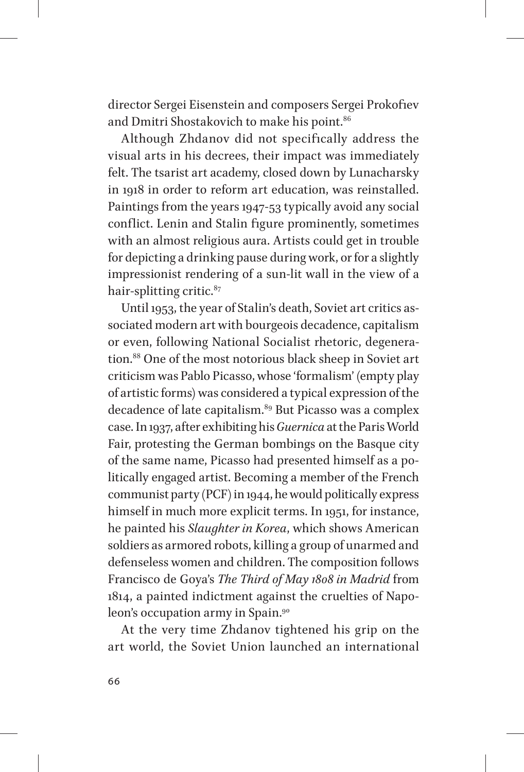director Sergei Eisenstein and composers Sergei Prokofiev and Dmitri Shostakovich to make his point.<sup>86</sup>

Although Zhdanov did not specifically address the visual arts in his decrees, their impact was immediately felt. The tsarist art academy, closed down by Lunacharsky in 1918 in order to reform art education, was reinstalled. Paintings from the years 1947-53 typically avoid any social conflict. Lenin and Stalin figure prominently, sometimes with an almost religious aura. Artists could get in trouble for depicting a drinking pause during work, or for a slightly impressionist rendering of a sun-lit wall in the view of a hair-splitting critic.<sup>87</sup>

Until 1953, the year of Stalin's death, Soviet art critics associated modern art with bourgeois decadence, capitalism or even, following National Socialist rhetoric, degeneration.88 One of the most notorious black sheep in Soviet art criticism was Pablo Picasso, whose 'formalism' (empty play of artistic forms) was considered a typical expression of the decadence of late capitalism.<sup>89</sup> But Picasso was a complex case. In 1937, after exhibiting his *Guernica* at the Paris World Fair, protesting the German bombings on the Basque city of the same name, Picasso had presented himself as a politically engaged artist. Becoming a member of the French communist party (PCF) in 1944, he would politically express himself in much more explicit terms. In 1951, for instance, he painted his *Slaughter in Korea*, which shows American soldiers as armored robots, killing a group of unarmed and defenseless women and children. The composition follows Francisco de Goya's *The Third of May 1808 in Madrid* from 1814, a painted indictment against the cruelties of Napoleon's occupation army in Spain.90

At the very time Zhdanov tightened his grip on the art world, the Soviet Union launched an international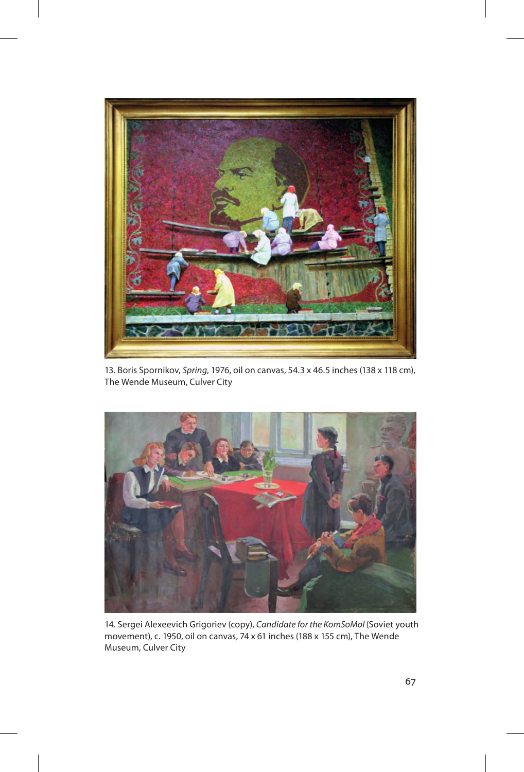

13. Boris Spornikov, Spring, 1976, oil on canvas, 54.3 x 46.5 inches (138 x 118 cm), The Wende Museum, Culver City



14. Sergei Alexeevich Grigoriev (copy), Candidate for the KomSoMol (Soviet youth movement), c. 1950, oil on canvas, 74 x 61 inches (188 x 155 cm), The Wende Museum, Culver City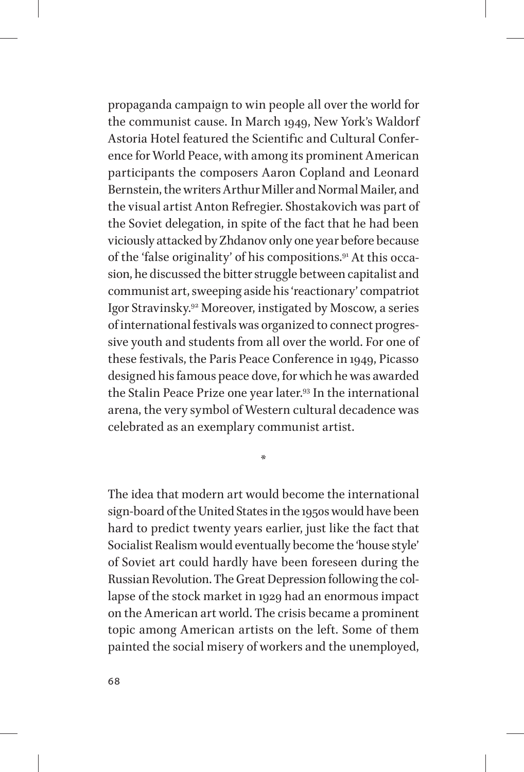propaganda campaign to win people all over the world for the communist cause. In March 1949, New York's Waldorf Astoria Hotel featured the Scientific and Cultural Conference for World Peace, with among its prominent American participants the composers Aaron Copland and Leonard Bernstein, the writers Arthur Miller and Normal Mailer, and the visual artist Anton Refregier. Shostakovich was part of the Soviet delegation, in spite of the fact that he had been viciously attacked by Zhdanov only one year before because of the 'false originality' of his compositions.91 At this occasion, he discussed the bitter struggle between capitalist and communist art, sweeping aside his 'reactionary' compatriot Igor Stravinsky.92 Moreover, instigated by Moscow, a series of international festivals was organized to connect progressive youth and students from all over the world. For one of these festivals, the Paris Peace Conference in 1949, Picasso designed his famous peace dove, for which he was awarded the Stalin Peace Prize one year later.<sup>93</sup> In the international arena, the very symbol of Western cultural decadence was celebrated as an exemplary communist artist.

The idea that modern art would become the international sign-board of the United States in the 1950s would have been hard to predict twenty years earlier, just like the fact that Socialist Realism would eventually become the 'house style' of Soviet art could hardly have been foreseen during the Russian Revolution. The Great Depression following the collapse of the stock market in 1929 had an enormous impact on the American art world. The crisis became a prominent topic among American artists on the left. Some of them painted the social misery of workers and the unemployed,

\*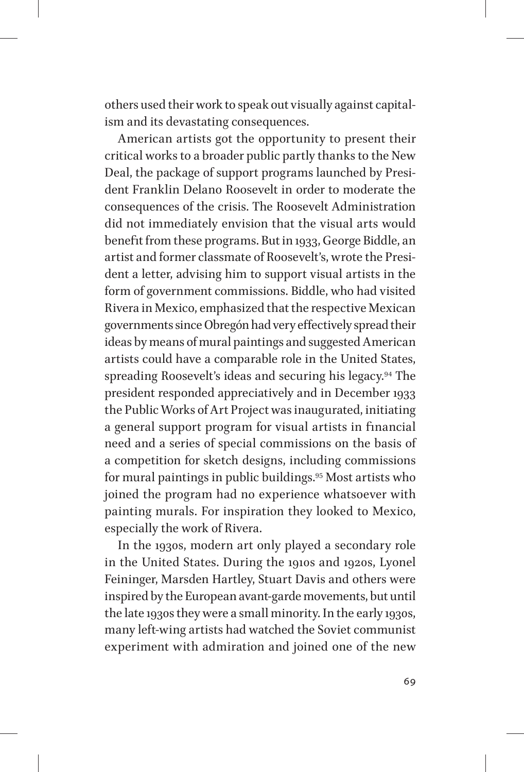others used their work to speak out visually against capitalism and its devastating consequences.

American artists got the opportunity to present their critical works to a broader public partly thanks to the New Deal, the package of support programs launched by President Franklin Delano Roosevelt in order to moderate the consequences of the crisis. The Roosevelt Administration did not immediately envision that the visual arts would benefit from these programs. But in 1933, George Biddle, an artist and former classmate of Roosevelt's, wrote the President a letter, advising him to support visual artists in the form of government commissions. Biddle, who had visited Rivera in Mexico, emphasized that the respective Mexican governments since Obregón had very efffectively spread their ideas by means of mural paintings and suggested American artists could have a comparable role in the United States, spreading Roosevelt's ideas and securing his legacy.<sup>94</sup> The president responded appreciatively and in December 1933 the Public Works of Art Project was inaugurated, initiating a general support program for visual artists in financial need and a series of special commissions on the basis of a competition for sketch designs, including commissions for mural paintings in public buildings.95 Most artists who joined the program had no experience whatsoever with painting murals. For inspiration they looked to Mexico, especially the work of Rivera.

In the 1930s, modern art only played a secondary role in the United States. During the 1910s and 1920s, Lyonel Feininger, Marsden Hartley, Stuart Davis and others were inspired by the European avant-garde movements, but until the late 1930s they were a small minority. In the early 1930s, many left-wing artists had watched the Soviet communist experiment with admiration and joined one of the new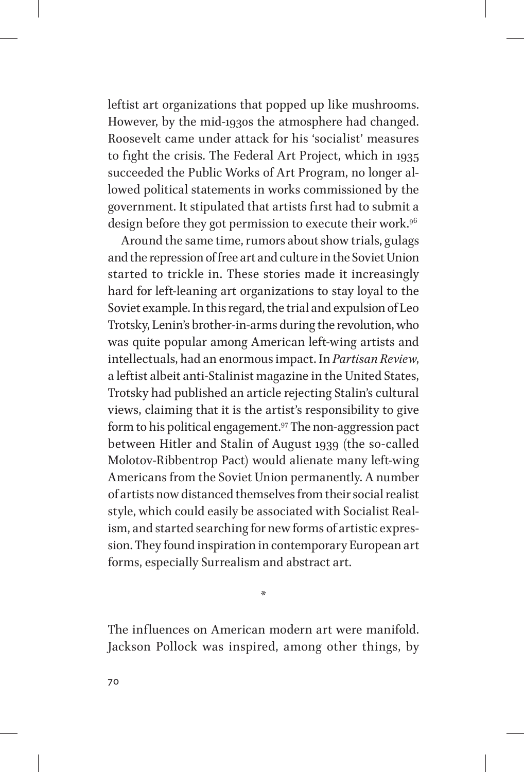leftist art organizations that popped up like mushrooms. However, by the mid-1930s the atmosphere had changed. Roosevelt came under attack for his 'socialist' measures to fight the crisis. The Federal Art Project, which in 1935 succeeded the Public Works of Art Program, no longer allowed political statements in works commissioned by the government. It stipulated that artists first had to submit a design before they got permission to execute their work.<sup>96</sup>

Around the same time, rumors about show trials, gulags and the repression of free art and culture in the Soviet Union started to trickle in. These stories made it increasingly hard for left-leaning art organizations to stay loyal to the Soviet example. In this regard, the trial and expulsion of Leo Trotsky, Lenin's brother-in-arms during the revolution, who was quite popular among American left-wing artists and intellectuals, had an enormous impact. In *Partisan Review*, a leftist albeit anti-Stalinist magazine in the United States, Trotsky had published an article rejecting Stalin's cultural views, claiming that it is the artist's responsibility to give form to his political engagement.<sup>97</sup> The non-aggression pact between Hitler and Stalin of August 1939 (the so-called Molotov-Ribbentrop Pact) would alienate many left-wing Americans from the Soviet Union permanently. A number of artists now distanced themselves from their social realist style, which could easily be associated with Socialist Realism, and started searching for new forms of artistic expression. They found inspiration in contemporary European art forms, especially Surrealism and abstract art.

The influences on American modern art were manifold. Jackson Pollock was inspired, among other things, by

\*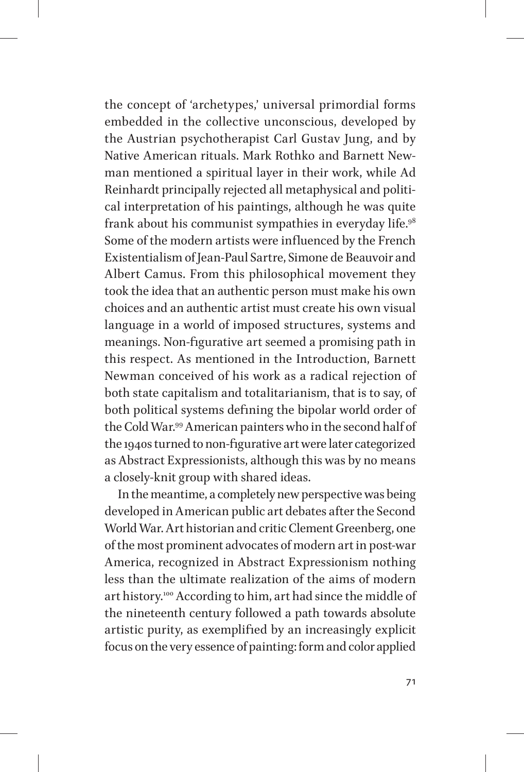the concept of 'archetypes,' universal primordial forms embedded in the collective unconscious, developed by the Austrian psychotherapist Carl Gustav Jung, and by Native American rituals. Mark Rothko and Barnett Newman mentioned a spiritual layer in their work, while Ad Reinhardt principally rejected all metaphysical and political interpretation of his paintings, although he was quite frank about his communist sympathies in everyday life.<sup>98</sup> Some of the modern artists were influenced by the French Existentialism of Jean-Paul Sartre, Simone de Beauvoir and Albert Camus. From this philosophical movement they took the idea that an authentic person must make his own choices and an authentic artist must create his own visual language in a world of imposed structures, systems and meanings. Non-figurative art seemed a promising path in this respect. As mentioned in the Introduction, Barnett Newman conceived of his work as a radical rejection of both state capitalism and totalitarianism, that is to say, of both political systems defining the bipolar world order of the Cold War.99 American painters who in the second half of the 1940s turned to non-figurative art were later categorized as Abstract Expressionists, although this was by no means a closely-knit group with shared ideas.

In the meantime, a completely new perspective was being developed in American public art debates after the Second World War. Art historian and critic Clement Greenberg, one of the most prominent advocates of modern art in post-war America, recognized in Abstract Expressionism nothing less than the ultimate realization of the aims of modern art history.100 According to him, art had since the middle of the nineteenth century followed a path towards absolute artistic purity, as exemplified by an increasingly explicit focus on the very essence of painting: form and color applied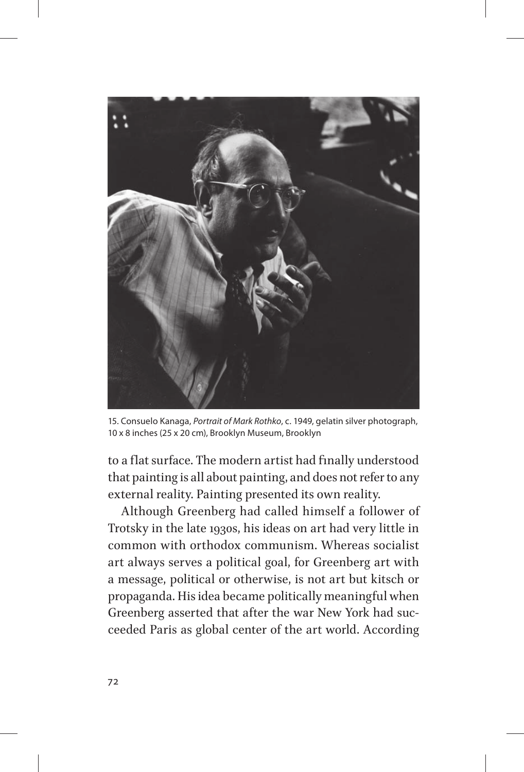

15. Consuelo Kanaga, Portrait of Mark Rothko, c. 1949, gelatin silver photograph, 10 x 8 inches (25 x 20 cm), Brooklyn Museum, Brooklyn

to a flat surface. The modern artist had finally understood that painting is all about painting, and does not refer to any external reality. Painting presented its own reality.

Although Greenberg had called himself a follower of Trotsky in the late 1930s, his ideas on art had very little in common with orthodox communism. Whereas socialist art always serves a political goal, for Greenberg art with a message, political or otherwise, is not art but kitsch or propaganda. His idea became politically meaningful when Greenberg asserted that after the war New York had succeeded Paris as global center of the art world. According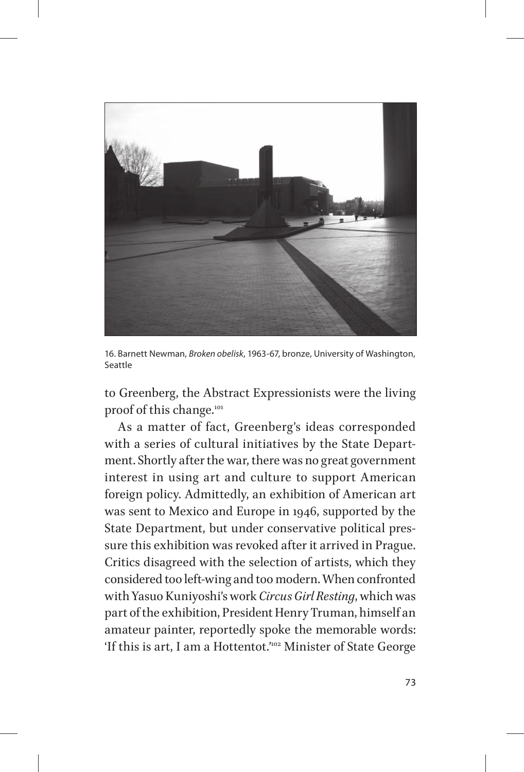

16. Barnett Newman, Broken obelisk, 1963-67, bronze, University of Washington, Seattle

to Greenberg, the Abstract Expressionists were the living proof of this change.<sup>101</sup>

As a matter of fact, Greenberg's ideas corresponded with a series of cultural initiatives by the State Department. Shortly after the war, there was no great government interest in using art and culture to support American foreign policy. Admittedly, an exhibition of American art was sent to Mexico and Europe in 1946, supported by the State Department, but under conservative political pressure this exhibition was revoked after it arrived in Prague. Critics disagreed with the selection of artists, which they considered too left-wing and too modern. When confronted with Yasuo Kuniyoshi's work *Circus Girl Resting*, which was part of the exhibition, President Henry Truman, himself an amateur painter, reportedly spoke the memorable words: 'If this is art, I am a Hottentot.'102 Minister of State George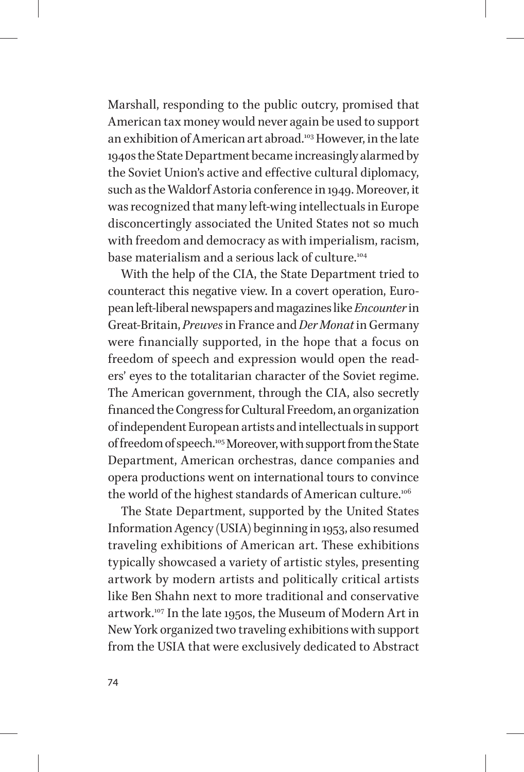Marshall, responding to the public outcry, promised that American tax money would never again be used to support an exhibition of American art abroad.103 However, in the late 1940s the State Department became increasingly alarmed by the Soviet Union's active and efffective cultural diplomacy, such as the Waldorf Astoria conference in 1949. Moreover, it was recognized that many left-wing intellectuals in Europe disconcertingly associated the United States not so much with freedom and democracy as with imperialism, racism, base materialism and a serious lack of culture.<sup>104</sup>

With the help of the CIA, the State Department tried to counteract this negative view. In a covert operation, European left-liberal newspapers and magazines like *Encounter* in Great-Britain, *Preuves* in France and *Der Monat* in Germany were financially supported, in the hope that a focus on freedom of speech and expression would open the readers' eyes to the totalitarian character of the Soviet regime. The American government, through the CIA, also secretly financed the Congress for Cultural Freedom, an organization of independent European artists and intellectuals in support of freedom of speech.<sup>105</sup> Moreover, with support from the State Department, American orchestras, dance companies and opera productions went on international tours to convince the world of the highest standards of American culture.<sup>106</sup>

The State Department, supported by the United States Information Agency (USIA) beginning in 1953, also resumed traveling exhibitions of American art. These exhibitions typically showcased a variety of artistic styles, presenting artwork by modern artists and politically critical artists like Ben Shahn next to more traditional and conservative artwork.107 In the late 1950s, the Museum of Modern Art in New York organized two traveling exhibitions with support from the USIA that were exclusively dedicated to Abstract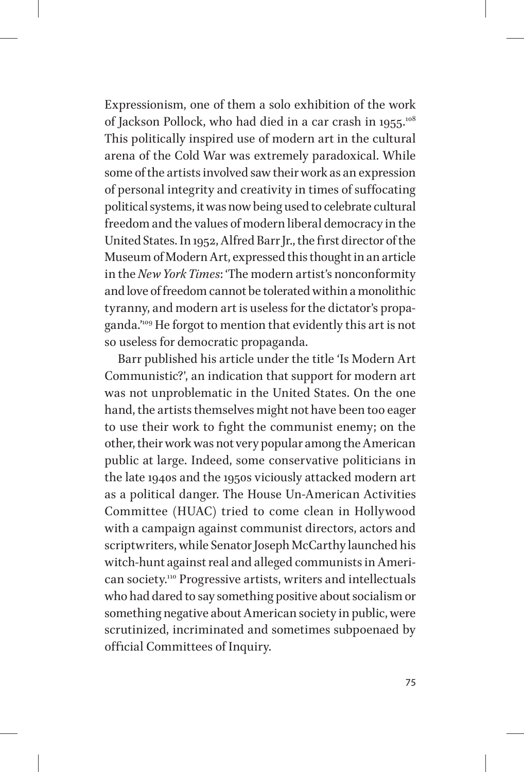Expressionism, one of them a solo exhibition of the work of Jackson Pollock, who had died in a car crash in 1955.<sup>108</sup> This politically inspired use of modern art in the cultural arena of the Cold War was extremely paradoxical. While some of the artists involved saw their work as an expression of personal integrity and creativity in times of suffocating political systems, it was now being used to celebrate cultural freedom and the values of modern liberal democracy in the United States. In 1952, Alfred Barr Jr., the first director of the Museum of Modern Art, expressed this thought in an article in the *New York Times*: 'The modern artist's nonconformity and love of freedom cannot be tolerated within a monolithic tyranny, and modern art is useless for the dictator's propaganda.<sup>109</sup> He forgot to mention that evidently this art is not so useless for democratic propaganda.

Barr published his article under the title 'Is Modern Art Communistic?', an indication that support for modern art was not unproblematic in the United States. On the one hand, the artists themselves might not have been too eager to use their work to fight the communist enemy; on the other, their work was not very popular among the American public at large. Indeed, some conservative politicians in the late 1940s and the 1950s viciously attacked modern art as a political danger. The House Un-American Activities Committee (HUAC) tried to come clean in Hollywood with a campaign against communist directors, actors and scriptwriters, while Senator Joseph McCarthy launched his witch-hunt against real and alleged communists in American society.110 Progressive artists, writers and intellectuals who had dared to say something positive about socialism or something negative about American society in public, were scrutinized, incriminated and sometimes subpoenaed by official Committees of Inquiry.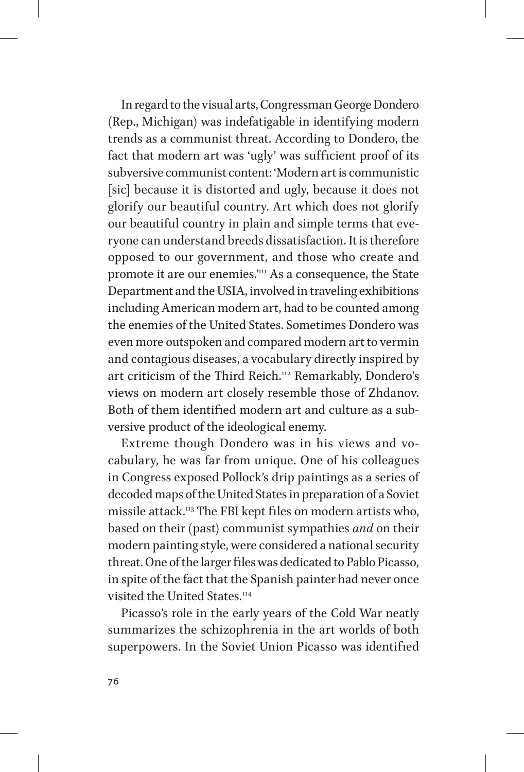In regard to the visual arts, Congressman George Dondero (Rep., Michigan) was indefatigable in identifying modern trends as a communist threat. According to Dondero, the fact that modern art was 'ugly' was sufficient proof of its subversive communist content: 'Modern art is communistic [sic] because it is distorted and ugly, because it does not glorify our beautiful country. Art which does not glorify our beautiful country in plain and simple terms that everyone can understand breeds dissatisfaction. It is therefore opposed to our government, and those who create and promote it are our enemies.'111 As a consequence, the State Department and the USIA, involved in traveling exhibitions including American modern art, had to be counted among the enemies of the United States. Sometimes Dondero was even more outspoken and compared modern art to vermin and contagious diseases, a vocabulary directly inspired by art criticism of the Third Reich.112 Remarkably, Dondero's views on modern art closely resemble those of Zhdanov. Both of them identified modern art and culture as a subversive product of the ideological enemy.

Extreme though Dondero was in his views and vocabulary, he was far from unique. One of his colleagues in Congress exposed Pollock's drip paintings as a series of decoded maps of the United States in preparation of a Soviet missile attack.<sup>113</sup> The FBI kept files on modern artists who, based on their (past) communist sympathies *and* on their modern painting style, were considered a national security threat. One of the larger files was dedicated to Pablo Picasso, in spite of the fact that the Spanish painter had never once visited the United States.<sup>114</sup>

Picasso's role in the early years of the Cold War neatly summarizes the schizophrenia in the art worlds of both superpowers. In the Soviet Union Picasso was identified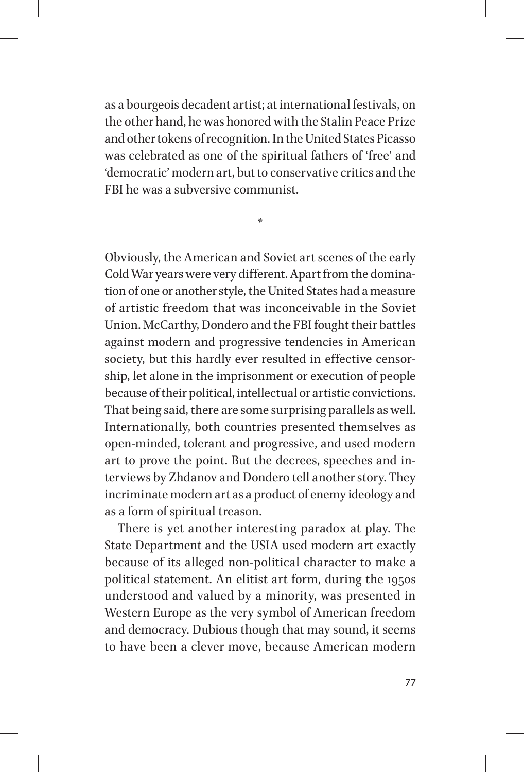as a bourgeois decadent artist; at international festivals, on the other hand, he was honored with the Stalin Peace Prize and other tokens of recognition. In the United States Picasso was celebrated as one of the spiritual fathers of 'free' and 'democratic' modern art, but to conservative critics and the FBI he was a subversive communist.

\*

Obviously, the American and Soviet art scenes of the early Cold War years were very different. Apart from the domination of one or another style, the United States had a measure of artistic freedom that was inconceivable in the Soviet Union. McCarthy, Dondero and the FBI fought their battles against modern and progressive tendencies in American society, but this hardly ever resulted in effective censorship, let alone in the imprisonment or execution of people because of their political, intellectual or artistic convictions. That being said, there are some surprising parallels as well. Internationally, both countries presented themselves as open-minded, tolerant and progressive, and used modern art to prove the point. But the decrees, speeches and interviews by Zhdanov and Dondero tell another story. They incriminate modern art as a product of enemy ideology and as a form of spiritual treason.

There is yet another interesting paradox at play. The State Department and the USIA used modern art exactly because of its alleged non-political character to make a political statement. An elitist art form, during the 1950s understood and valued by a minority, was presented in Western Europe as the very symbol of American freedom and democracy. Dubious though that may sound, it seems to have been a clever move, because American modern